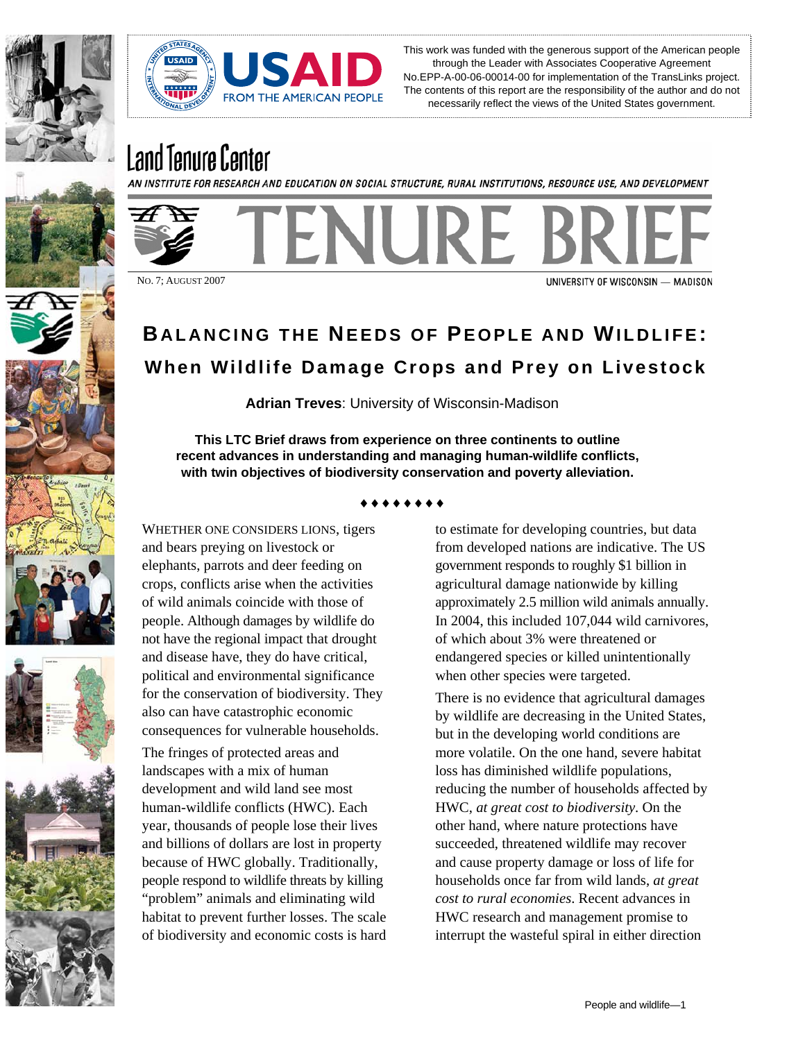



This work was funded with the generous support of the American people through the Leader with Associates Cooperative Agreement No.EPP-A-00-06-00014-00 for implementation of the TransLinks project. The contents of this report are the responsibility of the author and do not necessarily reflect the views of the United States government.

# Land Tenure Center

AN INSTITUTE FOR RESEARCH AND EDUCATION ON SOCIAL STRUCTURE, RURAL INSTITUTIONS, RESOURCE USE, AND DEVELOPMENT



NO. 7; AUGUST 2007

UNIVERSITY OF WISCONSIN - MADISON

## **BALANCING THE NEEDS OF PEOPLE AND WILDLIFE: When Wildlife Damage Crops and Prey on Livestock**

**Adrian Treves**: University of Wisconsin-Madison

**This LTC Brief draws from experience on three continents to outline recent advances in understanding and managing human-wildlife conflicts, with twin objectives of biodiversity conservation and poverty alleviation.** 

#### ♦♦♦♦♦♦♦♦

WHETHER ONE CONSIDERS LIONS, tigers and bears preying on livestock or elephants, parrots and deer feeding on crops, conflicts arise when the activities of wild animals coincide with those of people. Although damages by wildlife do not have the regional impact that drought and disease have, they do have critical, political and environmental significance for the conservation of biodiversity. They also can have catastrophic economic consequences for vulnerable households.

The fringes of protected areas and landscapes with a mix of human development and wild land see most human-wildlife conflicts (HWC). Each year, thousands of people lose their lives and billions of dollars are lost in property because of HWC globally. Traditionally, people respond to wildlife threats by killing "problem" animals and eliminating wild habitat to prevent further losses. The scale of biodiversity and economic costs is hard

to estimate for developing countries, but data from developed nations are indicative. The US government responds to roughly \$1 billion in agricultural damage nationwide by killing approximately 2.5 million wild animals annually. In 2004, this included 107,044 wild carnivores, of which about 3% were threatened or endangered species or killed unintentionally when other species were targeted.

There is no evidence that agricultural damages by wildlife are decreasing in the United States, but in the developing world conditions are more volatile. On the one hand, severe habitat loss has diminished wildlife populations, reducing the number of households affected by HWC, *at great cost to biodiversity*. On the other hand, where nature protections have succeeded, threatened wildlife may recover and cause property damage or loss of life for households once far from wild lands, *at great cost to rural economies*. Recent advances in HWC research and management promise to interrupt the wasteful spiral in either direction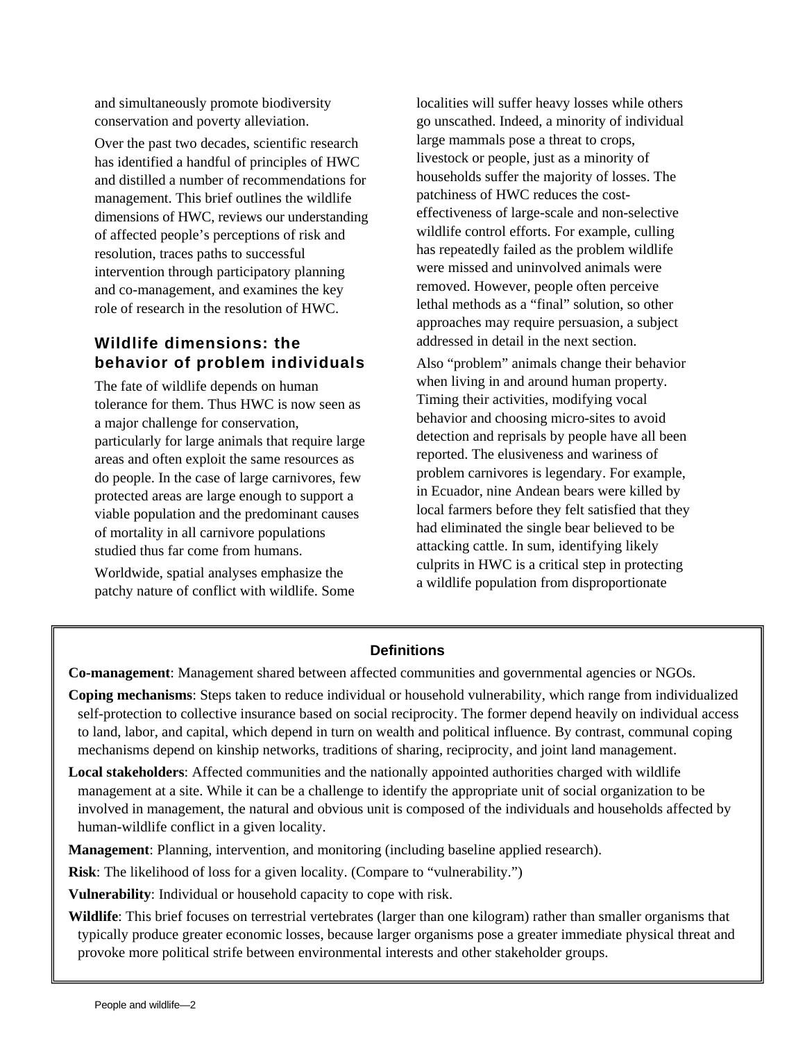and simultaneously promote biodiversity conservation and poverty alleviation.

Over the past two decades, scientific research has identified a handful of principles of HWC and distilled a number of recommendations for management. This brief outlines the wildlife dimensions of HWC, reviews our understanding of affected people's perceptions of risk and resolution, traces paths to successful intervention through participatory planning and co-management, and examines the key role of research in the resolution of HWC.

## **Wildlife dimensions: the behavior of problem individuals**

The fate of wildlife depends on human tolerance for them. Thus HWC is now seen as a major challenge for conservation, particularly for large animals that require large areas and often exploit the same resources as do people. In the case of large carnivores, few protected areas are large enough to support a viable population and the predominant causes of mortality in all carnivore populations studied thus far come from humans.

Worldwide, spatial analyses emphasize the patchy nature of conflict with wildlife. Some localities will suffer heavy losses while others go unscathed. Indeed, a minority of individual large mammals pose a threat to crops, livestock or people, just as a minority of households suffer the majority of losses. The patchiness of HWC reduces the costeffectiveness of large-scale and non-selective wildlife control efforts. For example, culling has repeatedly failed as the problem wildlife were missed and uninvolved animals were removed. However, people often perceive lethal methods as a "final" solution, so other approaches may require persuasion, a subject addressed in detail in the next section.

Also "problem" animals change their behavior when living in and around human property. Timing their activities, modifying vocal behavior and choosing micro-sites to avoid detection and reprisals by people have all been reported. The elusiveness and wariness of problem carnivores is legendary. For example, in Ecuador, nine Andean bears were killed by local farmers before they felt satisfied that they had eliminated the single bear believed to be attacking cattle. In sum, identifying likely culprits in HWC is a critical step in protecting a wildlife population from disproportionate

## **Definitions**

**Co-management**: Management shared between affected communities and governmental agencies or NGOs.

- **Coping mechanisms**: Steps taken to reduce individual or household vulnerability, which range from individualized self-protection to collective insurance based on social reciprocity. The former depend heavily on individual access to land, labor, and capital, which depend in turn on wealth and political influence. By contrast, communal coping mechanisms depend on kinship networks, traditions of sharing, reciprocity, and joint land management.
- **Local stakeholders**: Affected communities and the nationally appointed authorities charged with wildlife management at a site. While it can be a challenge to identify the appropriate unit of social organization to be involved in management, the natural and obvious unit is composed of the individuals and households affected by human-wildlife conflict in a given locality.

**Management**: Planning, intervention, and monitoring (including baseline applied research).

**Risk**: The likelihood of loss for a given locality. (Compare to "vulnerability.")

**Vulnerability**: Individual or household capacity to cope with risk.

**Wildlife**: This brief focuses on terrestrial vertebrates (larger than one kilogram) rather than smaller organisms that typically produce greater economic losses, because larger organisms pose a greater immediate physical threat and provoke more political strife between environmental interests and other stakeholder groups.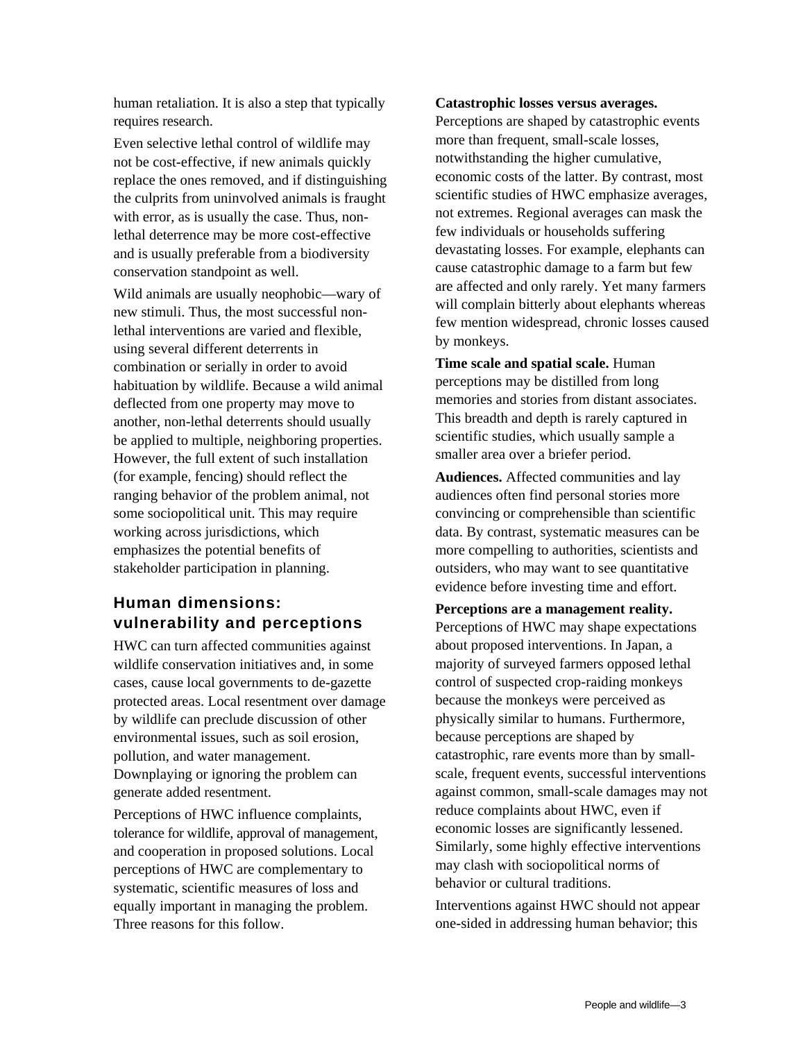human retaliation. It is also a step that typically requires research.

Even selective lethal control of wildlife may not be cost-effective, if new animals quickly replace the ones removed, and if distinguishing the culprits from uninvolved animals is fraught with error, as is usually the case. Thus, nonlethal deterrence may be more cost-effective and is usually preferable from a biodiversity conservation standpoint as well.

Wild animals are usually neophobic—wary of new stimuli. Thus, the most successful nonlethal interventions are varied and flexible, using several different deterrents in combination or serially in order to avoid habituation by wildlife. Because a wild animal deflected from one property may move to another, non-lethal deterrents should usually be applied to multiple, neighboring properties. However, the full extent of such installation (for example, fencing) should reflect the ranging behavior of the problem animal, not some sociopolitical unit. This may require working across jurisdictions, which emphasizes the potential benefits of stakeholder participation in planning.

## **Human dimensions: vulnerability and perceptions**

HWC can turn affected communities against wildlife conservation initiatives and, in some cases, cause local governments to de-gazette protected areas. Local resentment over damage by wildlife can preclude discussion of other environmental issues, such as soil erosion, pollution, and water management. Downplaying or ignoring the problem can generate added resentment.

Perceptions of HWC influence complaints, tolerance for wildlife, approval of management, and cooperation in proposed solutions. Local perceptions of HWC are complementary to systematic, scientific measures of loss and equally important in managing the problem. Three reasons for this follow.

#### **Catastrophic losses versus averages.**

Perceptions are shaped by catastrophic events more than frequent, small-scale losses, notwithstanding the higher cumulative, economic costs of the latter. By contrast, most scientific studies of HWC emphasize averages, not extremes. Regional averages can mask the few individuals or households suffering devastating losses. For example, elephants can cause catastrophic damage to a farm but few are affected and only rarely. Yet many farmers will complain bitterly about elephants whereas few mention widespread, chronic losses caused by monkeys.

**Time scale and spatial scale.** Human perceptions may be distilled from long memories and stories from distant associates. This breadth and depth is rarely captured in scientific studies, which usually sample a smaller area over a briefer period.

**Audiences.** Affected communities and lay audiences often find personal stories more convincing or comprehensible than scientific data. By contrast, systematic measures can be more compelling to authorities, scientists and outsiders, who may want to see quantitative evidence before investing time and effort.

**Perceptions are a management reality.**  Perceptions of HWC may shape expectations about proposed interventions. In Japan, a majority of surveyed farmers opposed lethal control of suspected crop-raiding monkeys because the monkeys were perceived as physically similar to humans. Furthermore, because perceptions are shaped by catastrophic, rare events more than by smallscale, frequent events, successful interventions against common, small-scale damages may not reduce complaints about HWC, even if economic losses are significantly lessened. Similarly, some highly effective interventions may clash with sociopolitical norms of behavior or cultural traditions.

Interventions against HWC should not appear one-sided in addressing human behavior; this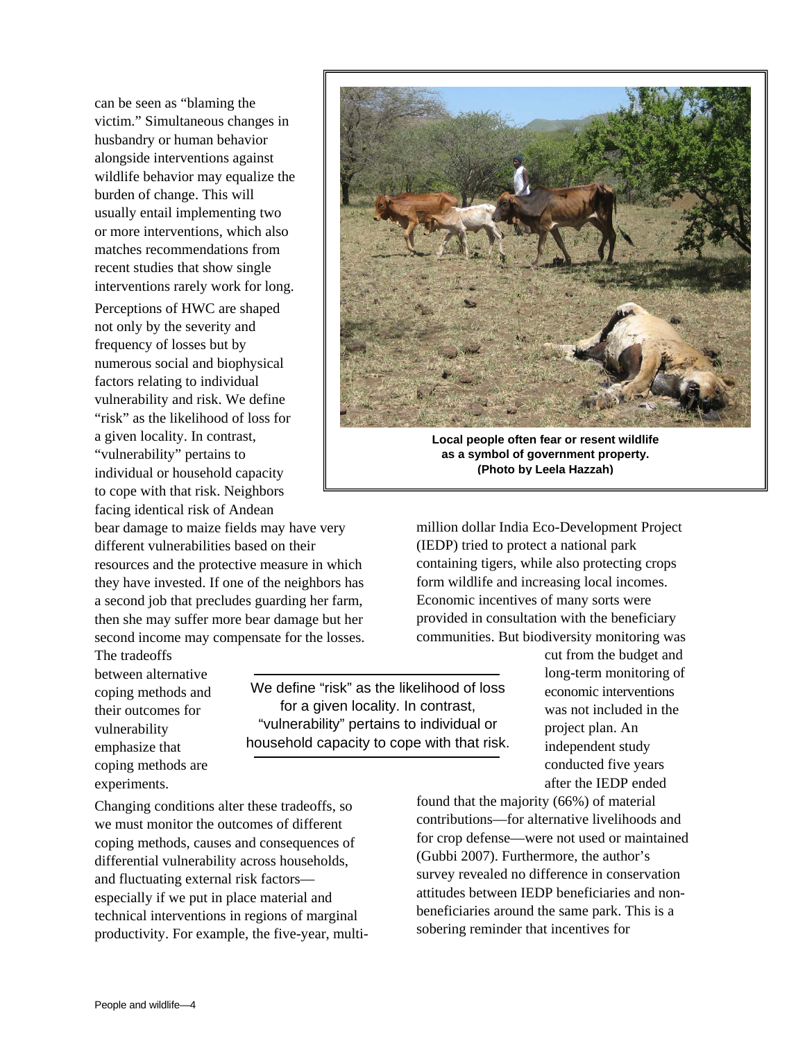can be seen as "blaming the victim." Simultaneous changes in husbandry or human behavior alongside interventions against wildlife behavior may equalize the burden of change. This will usually entail implementing two or more interventions, which also matches recommendations from recent studies that show single interventions rarely work for long.

Perceptions of HWC are shaped not only by the severity and frequency of losses but by numerous social and biophysical factors relating to individual vulnerability and risk. We define "risk" as the likelihood of loss for a given locality. In contrast, "vulnerability" pertains to individual or household capacity to cope with that risk. Neighbors facing identical risk of Andean

bear damage to maize fields may have very different vulnerabilities based on their resources and the protective measure in which they have invested. If one of the neighbors has a second job that precludes guarding her farm, then she may suffer more bear damage but her second income may compensate for the losses.

The tradeoffs between alternative coping methods and their outcomes for vulnerability emphasize that coping methods are experiments.

We define "risk" as the likelihood of loss for a given locality. In contrast, "vulnerability" pertains to individual or household capacity to cope with that risk.

Changing conditions alter these tradeoffs, so we must monitor the outcomes of different coping methods, causes and consequences of differential vulnerability across households, and fluctuating external risk factors especially if we put in place material and technical interventions in regions of marginal productivity. For example, the five-year, multi-



**Local people often fear or resent wildlife as a symbol of government property. (Photo by Leela Hazzah)**

million dollar India Eco-Development Project (IEDP) tried to protect a national park containing tigers, while also protecting crops form wildlife and increasing local incomes. Economic incentives of many sorts were provided in consultation with the beneficiary communities. But biodiversity monitoring was

> cut from the budget and long-term monitoring of economic interventions was not included in the project plan. An independent study conducted five years after the IEDP ended

found that the majority (66%) of material contributions—for alternative livelihoods and for crop defense—were not used or maintained (Gubbi 2007). Furthermore, the author's survey revealed no difference in conservation attitudes between IEDP beneficiaries and nonbeneficiaries around the same park. This is a sobering reminder that incentives for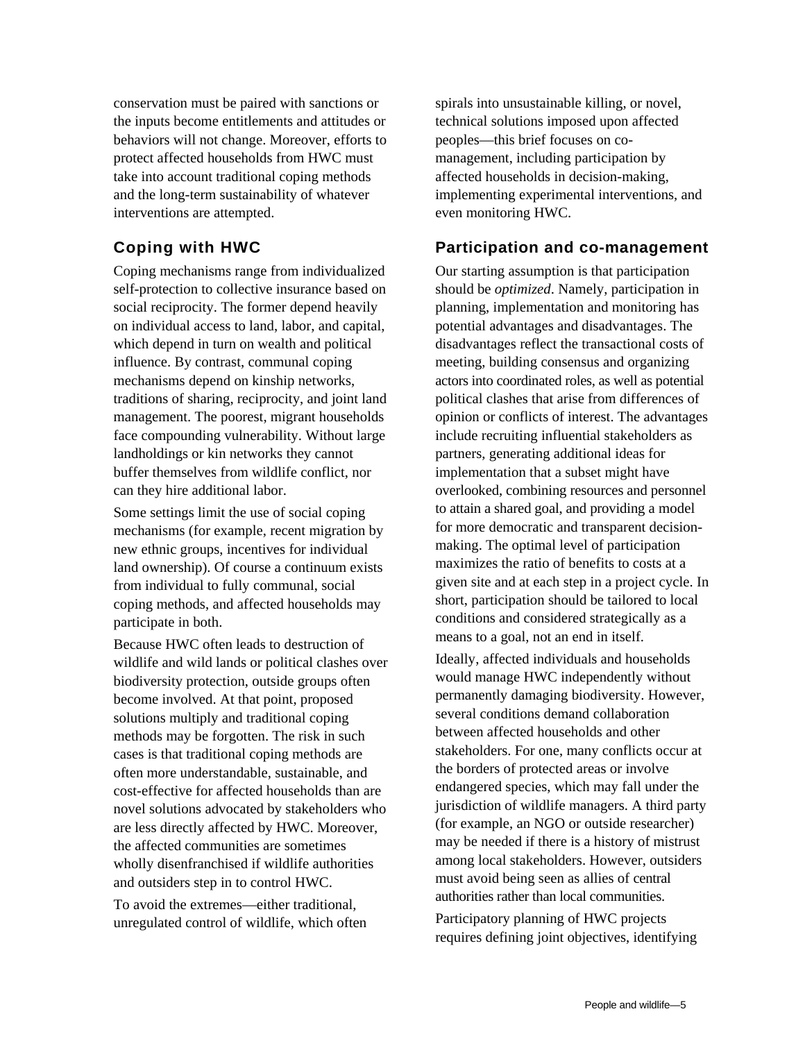conservation must be paired with sanctions or the inputs become entitlements and attitudes or behaviors will not change. Moreover, efforts to protect affected households from HWC must take into account traditional coping methods and the long-term sustainability of whatever interventions are attempted.

## **Coping with HWC**

Coping mechanisms range from individualized self-protection to collective insurance based on social reciprocity. The former depend heavily on individual access to land, labor, and capital, which depend in turn on wealth and political influence. By contrast, communal coping mechanisms depend on kinship networks, traditions of sharing, reciprocity, and joint land management. The poorest, migrant households face compounding vulnerability. Without large landholdings or kin networks they cannot buffer themselves from wildlife conflict, nor can they hire additional labor.

Some settings limit the use of social coping mechanisms (for example, recent migration by new ethnic groups, incentives for individual land ownership). Of course a continuum exists from individual to fully communal, social coping methods, and affected households may participate in both.

Because HWC often leads to destruction of wildlife and wild lands or political clashes over biodiversity protection, outside groups often become involved. At that point, proposed solutions multiply and traditional coping methods may be forgotten. The risk in such cases is that traditional coping methods are often more understandable, sustainable, and cost-effective for affected households than are novel solutions advocated by stakeholders who are less directly affected by HWC. Moreover, the affected communities are sometimes wholly disenfranchised if wildlife authorities and outsiders step in to control HWC.

To avoid the extremes—either traditional, unregulated control of wildlife, which often spirals into unsustainable killing, or novel, technical solutions imposed upon affected peoples—this brief focuses on comanagement, including participation by affected households in decision-making, implementing experimental interventions, and even monitoring HWC.

## **Participation and co-management**

Our starting assumption is that participation should be *optimized*. Namely, participation in planning, implementation and monitoring has potential advantages and disadvantages. The disadvantages reflect the transactional costs of meeting, building consensus and organizing actors into coordinated roles, as well as potential political clashes that arise from differences of opinion or conflicts of interest. The advantages include recruiting influential stakeholders as partners, generating additional ideas for implementation that a subset might have overlooked, combining resources and personnel to attain a shared goal, and providing a model for more democratic and transparent decisionmaking. The optimal level of participation maximizes the ratio of benefits to costs at a given site and at each step in a project cycle. In short, participation should be tailored to local conditions and considered strategically as a means to a goal, not an end in itself.

Ideally, affected individuals and households would manage HWC independently without permanently damaging biodiversity. However, several conditions demand collaboration between affected households and other stakeholders. For one, many conflicts occur at the borders of protected areas or involve endangered species, which may fall under the jurisdiction of wildlife managers. A third party (for example, an NGO or outside researcher) may be needed if there is a history of mistrust among local stakeholders. However, outsiders must avoid being seen as allies of central authorities rather than local communities.

Participatory planning of HWC projects requires defining joint objectives, identifying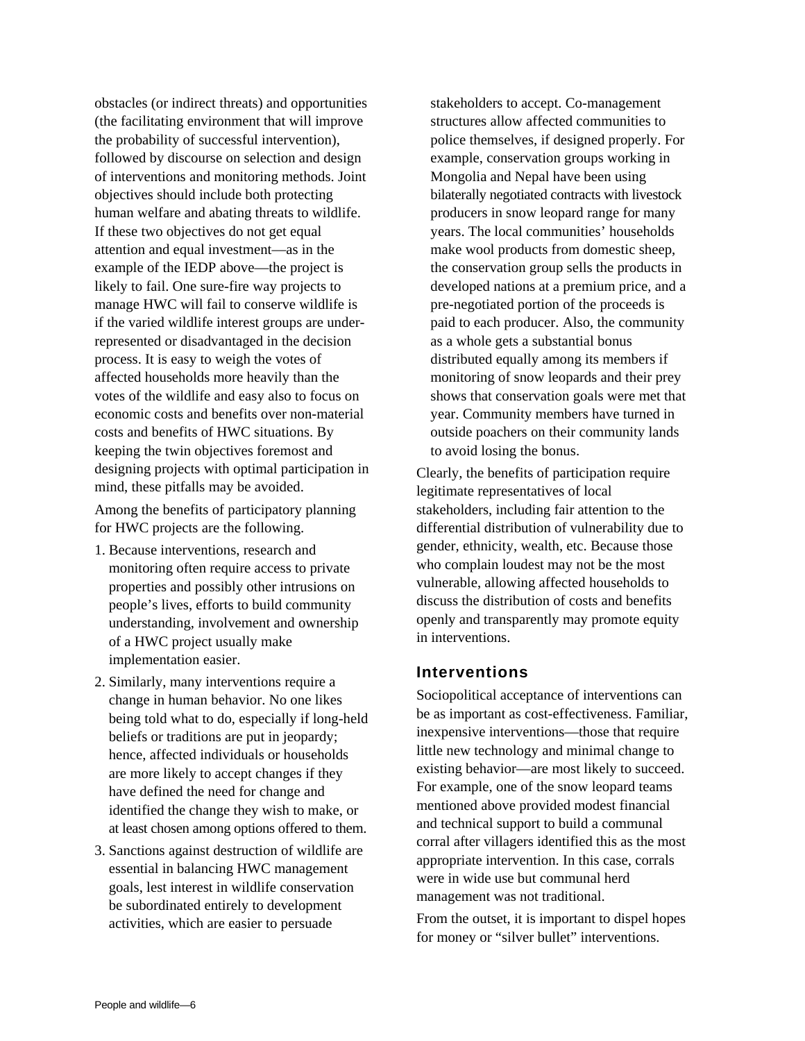obstacles (or indirect threats) and opportunities (the facilitating environment that will improve the probability of successful intervention), followed by discourse on selection and design of interventions and monitoring methods. Joint objectives should include both protecting human welfare and abating threats to wildlife. If these two objectives do not get equal attention and equal investment—as in the example of the IEDP above—the project is likely to fail. One sure-fire way projects to manage HWC will fail to conserve wildlife is if the varied wildlife interest groups are underrepresented or disadvantaged in the decision process. It is easy to weigh the votes of affected households more heavily than the votes of the wildlife and easy also to focus on economic costs and benefits over non-material costs and benefits of HWC situations. By keeping the twin objectives foremost and designing projects with optimal participation in mind, these pitfalls may be avoided.

Among the benefits of participatory planning for HWC projects are the following.

- 1. Because interventions, research and monitoring often require access to private properties and possibly other intrusions on people's lives, efforts to build community understanding, involvement and ownership of a HWC project usually make implementation easier.
- 2. Similarly, many interventions require a change in human behavior. No one likes being told what to do, especially if long-held beliefs or traditions are put in jeopardy; hence, affected individuals or households are more likely to accept changes if they have defined the need for change and identified the change they wish to make, or at least chosen among options offered to them.
- 3. Sanctions against destruction of wildlife are essential in balancing HWC management goals, lest interest in wildlife conservation be subordinated entirely to development activities, which are easier to persuade

stakeholders to accept. Co-management structures allow affected communities to police themselves, if designed properly. For example, conservation groups working in Mongolia and Nepal have been using bilaterally negotiated contracts with livestock producers in snow leopard range for many years. The local communities' households make wool products from domestic sheep, the conservation group sells the products in developed nations at a premium price, and a pre-negotiated portion of the proceeds is paid to each producer. Also, the community as a whole gets a substantial bonus distributed equally among its members if monitoring of snow leopards and their prey shows that conservation goals were met that year. Community members have turned in outside poachers on their community lands to avoid losing the bonus.

Clearly, the benefits of participation require legitimate representatives of local stakeholders, including fair attention to the differential distribution of vulnerability due to gender, ethnicity, wealth, etc. Because those who complain loudest may not be the most vulnerable, allowing affected households to discuss the distribution of costs and benefits openly and transparently may promote equity in interventions.

#### **Interventions**

Sociopolitical acceptance of interventions can be as important as cost-effectiveness. Familiar, inexpensive interventions—those that require little new technology and minimal change to existing behavior—are most likely to succeed. For example, one of the snow leopard teams mentioned above provided modest financial and technical support to build a communal corral after villagers identified this as the most appropriate intervention. In this case, corrals were in wide use but communal herd management was not traditional.

From the outset, it is important to dispel hopes for money or "silver bullet" interventions.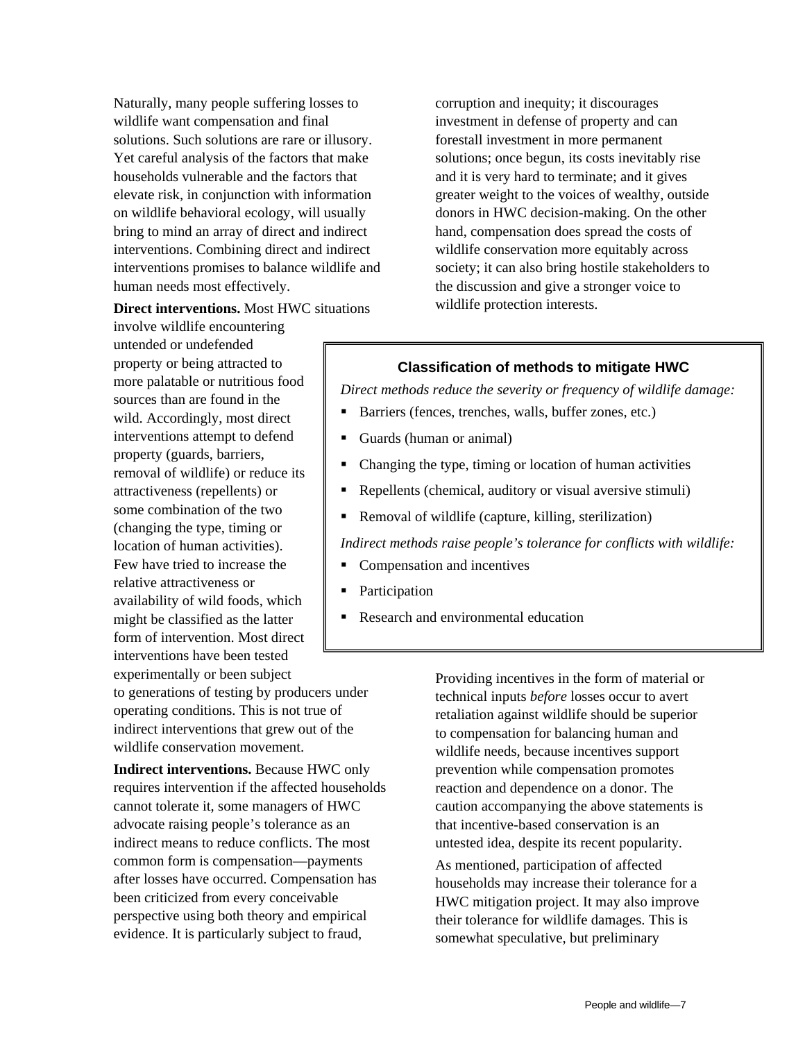Naturally, many people suffering losses to wildlife want compensation and final solutions. Such solutions are rare or illusory. Yet careful analysis of the factors that make households vulnerable and the factors that elevate risk, in conjunction with information on wildlife behavioral ecology, will usually bring to mind an array of direct and indirect interventions. Combining direct and indirect interventions promises to balance wildlife and human needs most effectively.

#### **Direct interventions.** Most HWC situations

involve wildlife encountering untended or undefended property or being attracted to more palatable or nutritious food sources than are found in the wild. Accordingly, most direct interventions attempt to defend property (guards, barriers, removal of wildlife) or reduce its attractiveness (repellents) or some combination of the two (changing the type, timing or location of human activities). Few have tried to increase the relative attractiveness or availability of wild foods, which might be classified as the latter form of intervention. Most direct interventions have been tested

experimentally or been subject to generations of testing by producers under operating conditions. This is not true of indirect interventions that grew out of the wildlife conservation movement.

**Indirect interventions.** Because HWC only requires intervention if the affected households cannot tolerate it, some managers of HWC advocate raising people's tolerance as an indirect means to reduce conflicts. The most common form is compensation—payments after losses have occurred. Compensation has been criticized from every conceivable perspective using both theory and empirical evidence. It is particularly subject to fraud,

corruption and inequity; it discourages investment in defense of property and can forestall investment in more permanent solutions; once begun, its costs inevitably rise and it is very hard to terminate; and it gives greater weight to the voices of wealthy, outside donors in HWC decision-making. On the other hand, compensation does spread the costs of wildlife conservation more equitably across society; it can also bring hostile stakeholders to the discussion and give a stronger voice to wildlife protection interests.

#### **Classification of methods to mitigate HWC**

*Direct methods reduce the severity or frequency of wildlife damage:* 

- Barriers (fences, trenches, walls, buffer zones, etc.)
- Guards (human or animal)
- Changing the type, timing or location of human activities
- Repellents (chemical, auditory or visual aversive stimuli)
- Removal of wildlife (capture, killing, sterilization)

*Indirect methods raise people's tolerance for conflicts with wildlife:* 

- Compensation and incentives
- Participation
- Research and environmental education

Providing incentives in the form of material or technical inputs *before* losses occur to avert retaliation against wildlife should be superior to compensation for balancing human and wildlife needs, because incentives support prevention while compensation promotes reaction and dependence on a donor. The caution accompanying the above statements is that incentive-based conservation is an untested idea, despite its recent popularity. As mentioned, participation of affected households may increase their tolerance for a HWC mitigation project. It may also improve their tolerance for wildlife damages. This is somewhat speculative, but preliminary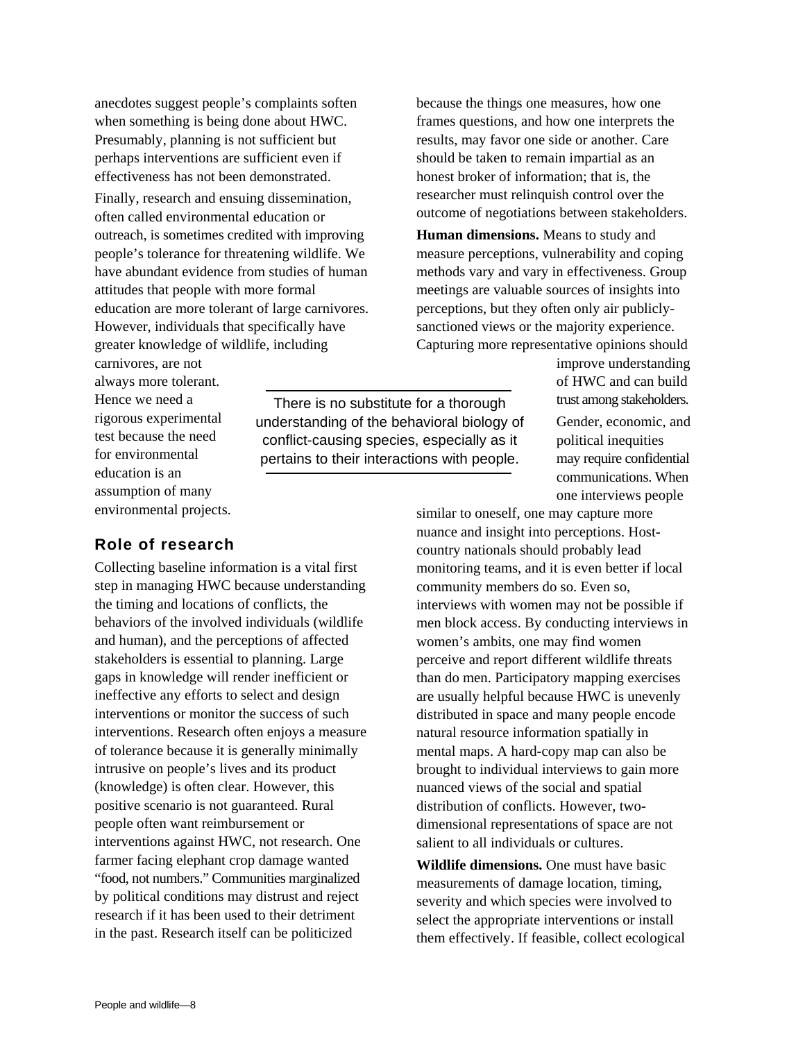anecdotes suggest people's complaints soften when something is being done about HWC. Presumably, planning is not sufficient but perhaps interventions are sufficient even if effectiveness has not been demonstrated.

Finally, research and ensuing dissemination, often called environmental education or outreach, is sometimes credited with improving people's tolerance for threatening wildlife. We have abundant evidence from studies of human attitudes that people with more formal education are more tolerant of large carnivores. However, individuals that specifically have greater knowledge of wildlife, including

carnivores, are not always more tolerant. Hence we need a rigorous experimental test because the need for environmental education is an assumption of many environmental projects.

There is no substitute for a thorough understanding of the behavioral biology of conflict-causing species, especially as it pertains to their interactions with people.

because the things one measures, how one frames questions, and how one interprets the results, may favor one side or another. Care should be taken to remain impartial as an honest broker of information; that is, the researcher must relinquish control over the outcome of negotiations between stakeholders.

**Human dimensions.** Means to study and measure perceptions, vulnerability and coping methods vary and vary in effectiveness. Group meetings are valuable sources of insights into perceptions, but they often only air publiclysanctioned views or the majority experience. Capturing more representative opinions should

improve understanding of HWC and can build trust among stakeholders.

Gender, economic, and political inequities may require confidential communications. When one interviews people

## nuance and insight into perceptions. Hostcountry nationals should probably lead monitoring teams, and it is even better if local community members do so. Even so, interviews with women may not be possible if men block access. By conducting interviews in women's ambits, one may find women perceive and report different wildlife threats than do men. Participatory mapping exercises are usually helpful because HWC is unevenly distributed in space and many people encode natural resource information spatially in mental maps. A hard-copy map can also be brought to individual interviews to gain more nuanced views of the social and spatial distribution of conflicts. However, twodimensional representations of space are not salient to all individuals or cultures.

similar to oneself, one may capture more

**Wildlife dimensions.** One must have basic measurements of damage location, timing, severity and which species were involved to select the appropriate interventions or install them effectively. If feasible, collect ecological

### **Role of research**

Collecting baseline information is a vital first step in managing HWC because understanding the timing and locations of conflicts, the behaviors of the involved individuals (wildlife and human), and the perceptions of affected stakeholders is essential to planning. Large gaps in knowledge will render inefficient or ineffective any efforts to select and design interventions or monitor the success of such interventions. Research often enjoys a measure of tolerance because it is generally minimally intrusive on people's lives and its product (knowledge) is often clear. However, this positive scenario is not guaranteed. Rural people often want reimbursement or interventions against HWC, not research. One farmer facing elephant crop damage wanted "food, not numbers." Communities marginalized by political conditions may distrust and reject research if it has been used to their detriment in the past. Research itself can be politicized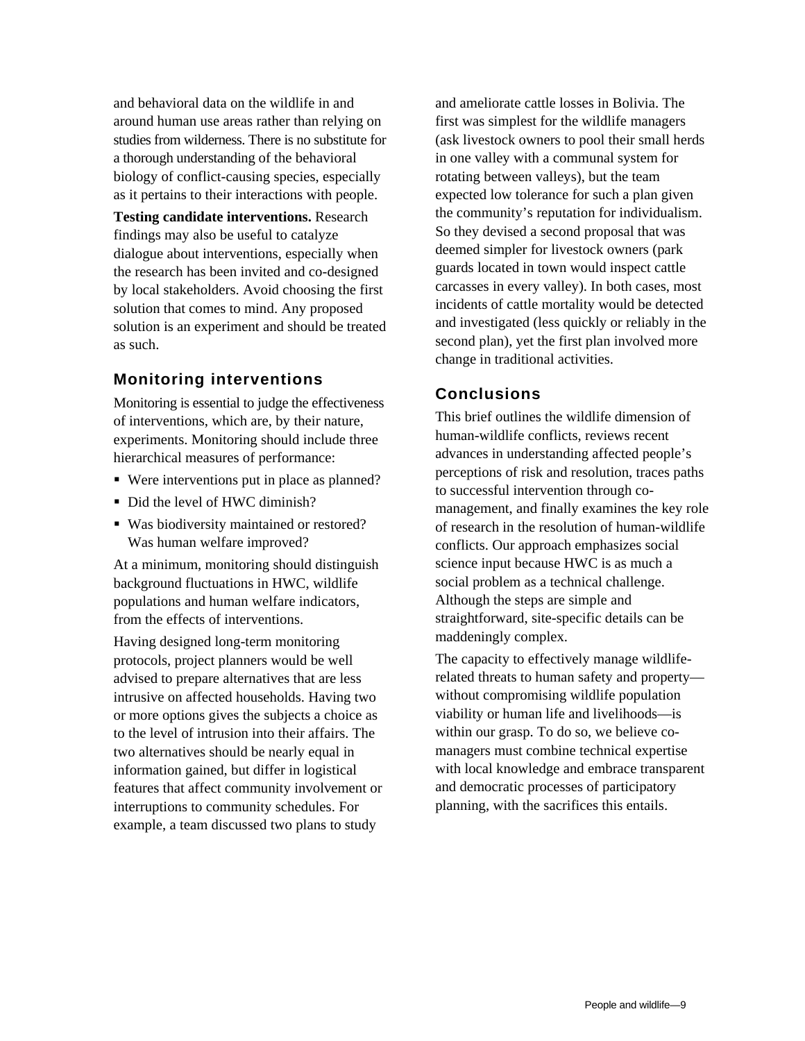and behavioral data on the wildlife in and around human use areas rather than relying on studies from wilderness. There is no substitute for a thorough understanding of the behavioral biology of conflict-causing species, especially as it pertains to their interactions with people.

**Testing candidate interventions.** Research findings may also be useful to catalyze dialogue about interventions, especially when the research has been invited and co-designed by local stakeholders. Avoid choosing the first solution that comes to mind. Any proposed solution is an experiment and should be treated as such.

## **Monitoring interventions**

Monitoring is essential to judge the effectiveness of interventions, which are, by their nature, experiments. Monitoring should include three hierarchical measures of performance:

- Were interventions put in place as planned?
- Did the level of HWC diminish?
- Was biodiversity maintained or restored? Was human welfare improved?

At a minimum, monitoring should distinguish background fluctuations in HWC, wildlife populations and human welfare indicators, from the effects of interventions.

Having designed long-term monitoring protocols, project planners would be well advised to prepare alternatives that are less intrusive on affected households. Having two or more options gives the subjects a choice as to the level of intrusion into their affairs. The two alternatives should be nearly equal in information gained, but differ in logistical features that affect community involvement or interruptions to community schedules. For example, a team discussed two plans to study

and ameliorate cattle losses in Bolivia. The first was simplest for the wildlife managers (ask livestock owners to pool their small herds in one valley with a communal system for rotating between valleys), but the team expected low tolerance for such a plan given the community's reputation for individualism. So they devised a second proposal that was deemed simpler for livestock owners (park guards located in town would inspect cattle carcasses in every valley). In both cases, most incidents of cattle mortality would be detected and investigated (less quickly or reliably in the second plan), yet the first plan involved more change in traditional activities.

## **Conclusions**

This brief outlines the wildlife dimension of human-wildlife conflicts, reviews recent advances in understanding affected people's perceptions of risk and resolution, traces paths to successful intervention through comanagement, and finally examines the key role of research in the resolution of human-wildlife conflicts. Our approach emphasizes social science input because HWC is as much a social problem as a technical challenge. Although the steps are simple and straightforward, site-specific details can be maddeningly complex.

The capacity to effectively manage wildliferelated threats to human safety and property without compromising wildlife population viability or human life and livelihoods—is within our grasp. To do so, we believe comanagers must combine technical expertise with local knowledge and embrace transparent and democratic processes of participatory planning, with the sacrifices this entails.